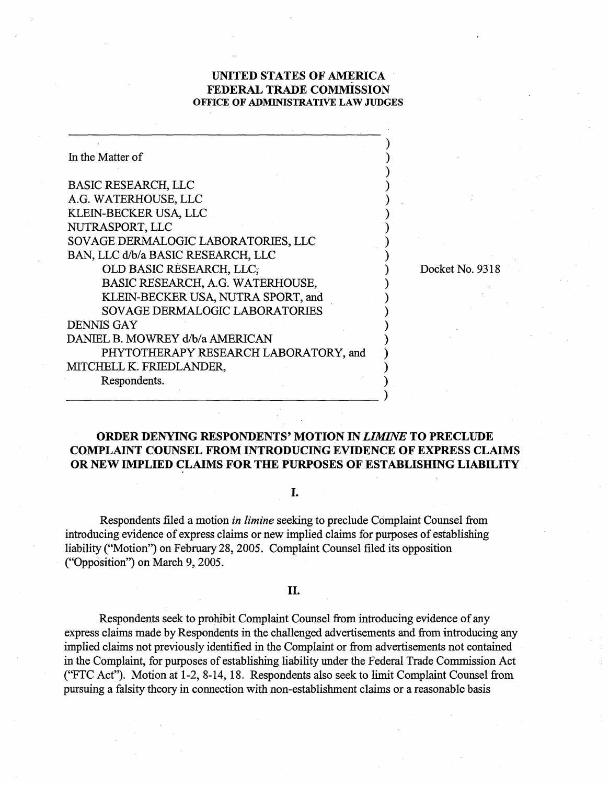## **UNITED STATES OF AMERICA FEDERAL TRADE COMMISSION OFFICE OF ADMINISTRATIVE LAW JUDGES**

Docket No. 9318

| In the Matter of                      |  |
|---------------------------------------|--|
|                                       |  |
| <b>BASIC RESEARCH, LLC</b>            |  |
| A.G. WATERHOUSE, LLC                  |  |
| KLEIN-BECKER USA, LLC                 |  |
| NUTRASPORT, LLC                       |  |
| SOVAGE DERMALOGIC LABORATORIES, LLC   |  |
| BAN, LLC d/b/a BASIC RESEARCH, LLC    |  |
| OLD BASIC RESEARCH, LLC;              |  |
| BASIC RESEARCH, A.G. WATERHOUSE,      |  |
| KLEIN-BECKER USA, NUTRA SPORT, and    |  |
| <b>SOVAGE DERMALOGIC LABORATORIES</b> |  |
| <b>DENNIS GAY</b>                     |  |
| DANIEL B. MOWREY d/b/a AMERICAN       |  |
| PHYTOTHERAPY RESEARCH LABORATORY, and |  |
| MITCHELL K. FRIEDLANDER,              |  |
| Respondents.                          |  |
|                                       |  |

# **ORDER DENYING RESPONDENTS' MOTION IN LIMINE TO PRECLUDE COMPLAINT COUNSEL FROM INTRODUCING EVIDENCE OF EXPRESS CLAIMS OR NEW IMPLIED CLAIMS FOR THE PURPOSES OF ESTABLISHING LIABILITY**

#### I.

Respondents filed a motion *in limine* seeking to preclude Complaint Counsel fiom introducing evidence of express claims or new implied claims for purposes of establishing liability ("Motion") on February 28,2005. Complaint Counsel filed its opposition ("Opposition") on March 9,2005.

### II.

Respondents seek to prohibit Complaint Counsel from introducing evidence of any express claims made by Respondents in the challenged advertisements and fiom introducing any implied claims not previously identified in the Complaint or from advertisements not contained in the Complaint, for purposes of establishing liability under the Federal Trade Commission Act ("FTC Act"). Motion at 1-2, 8-14, 18. Respondents also seek to limit Complaint Counsel from pursuing a falsity theory in connection with non-establishment claims or a reasonable basis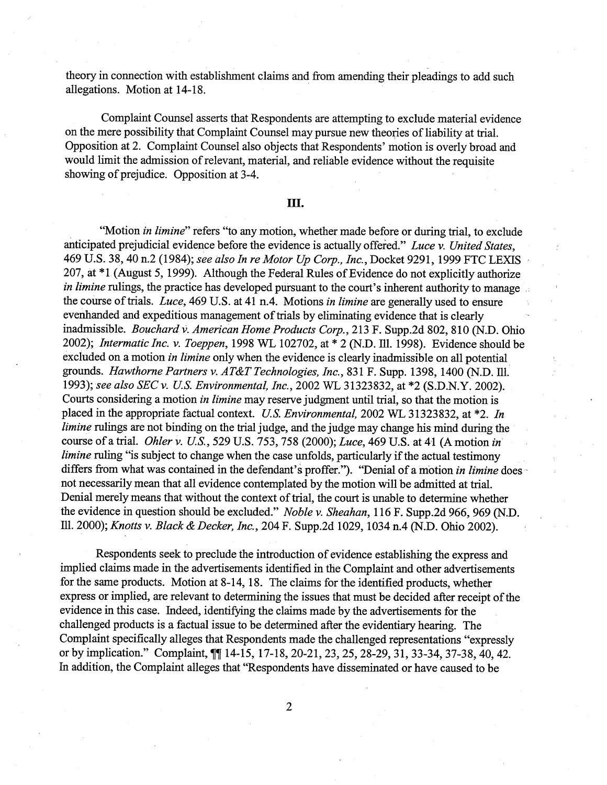theory in connection with establishment claims and from amending their pleadings to add such allegations. Motion at 14-18.

Complaint Counsel asserts that Respondents are attempting to exclude material evidence on the mere possibility that Complaint Counsel may pursue new theories of liability at trial. Opposition at 2. Complaint Counsel also objects that Respondents' motion is overly broad and would limit the admission of relevant, material, and reliable evidence without the requisite showing of prejudice. Opposition at 3-4.

### Ш.

"Motion in limine" refers "to any motion, whether made before or during trial, to exclude anticipated prejudicial evidence before the evidence is actually offered." Luce v. United States, 469 U.S. 38, 40 n.2 (1984); see also In re Motor Up Corp., Inc., Docket 9291, 1999 FTC LEXIS 207, at \*1 (August 5, 1999). Although the Federal Rules of Evidence do not explicitly authorize in limine rulings, the practice has developed pursuant to the court's inherent authority to manage the course of trials. Luce, 469 U.S. at 41 n.4. Motions in limine are generally used to ensure evenhanded and expeditious management of trials by eliminating evidence that is clearly inadmissible. Bouchard v. American Home Products Corp., 213 F. Supp.2d 802, 810 (N.D. Ohio 2002); Intermatic Inc. v. Toeppen, 1998 WL 102702, at \* 2 (N.D. Ill. 1998). Evidence should be excluded on a motion *in limine* only when the evidence is clearly inadmissible on all potential grounds. Hawthorne Partners v. AT&T Technologies, Inc., 831 F. Supp. 1398, 1400 (N.D. Ill. 1993); see also SEC v. U.S. Environmental, Inc., 2002 WL 31323832, at \*2 (S.D.N.Y. 2002). Courts considering a motion in limine may reserve judgment until trial, so that the motion is placed in the appropriate factual context. U.S. Environmental, 2002 WL 31323832, at \*2. In limine rulings are not binding on the trial judge, and the judge may change his mind during the course of a trial. Ohler v. US., 529 U.S. 753,758 (2000); Luce, 469 U.S. at 41 (A motion in limine ruling "is subject to change when the case unfolds, particularly if the actual testimony differs from what was contained in the defendant's proffer."). "Denial of a motion in limine does not necessarily mean that all evidence contemplated by the motion will be admitted at trial. Denial merely means that without the context of trial, the court is unable to determine whether the evidence in question should be excluded." Noble v. Sheahan, 116 F. Supp.2d 966, 969 (N.D. Ill. 2000); Knotts v. Black & Decker, Inc., 204 F. Supp.2d 1029,1034 n.4 (N.D. Ohio 2002).

Respondents seek to preclude the introduction of evidence establishing the express and implied claims made in the advertisements identified in the Complaint and other advertisements for the same products. Motion at  $8-14$ , 18. The claims for the identified products, whether express or implied, are relevant to determining the issues that must be decided after receipt of the evidence in this case. Indeed, identifying the claims made by the advertisements for the challenged products is a factual issue to be determined after the evidentiary hearing. The Complaint specifically alleges that Respondents made the challenged representations "expressly or by implication." Complaint,  $\P$ [14-15, 17-18, 20-21, 23, 25, 28-29, 31, 33-34, 37-38, 40, 42. In addition, the Complaint alleges that "Respondents have disseminated or have caused to be

 $\overline{2}$